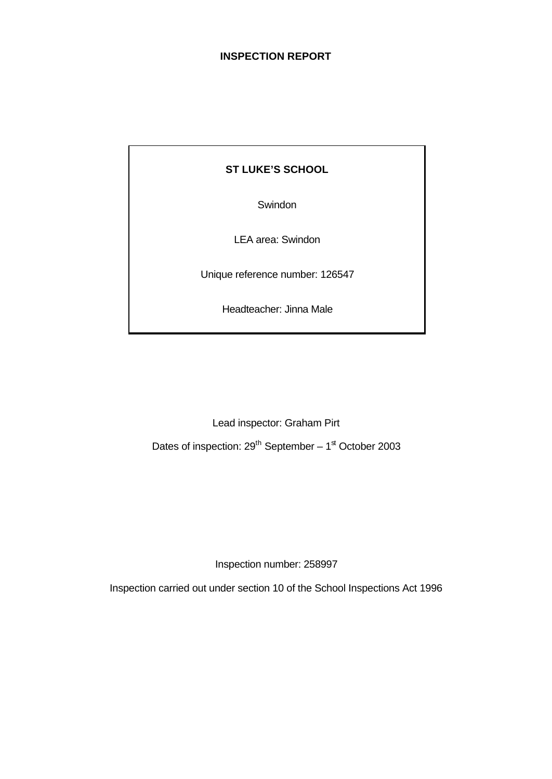## **INSPECTION REPORT**

# **ST LUKE'S SCHOOL**

Swindon

LEA area: Swindon

Unique reference number: 126547

Headteacher: Jinna Male

Lead inspector: Graham Pirt

Dates of inspection:  $29^{th}$  September –  $1^{\text{st}}$  October 2003

Inspection number: 258997

Inspection carried out under section 10 of the School Inspections Act 1996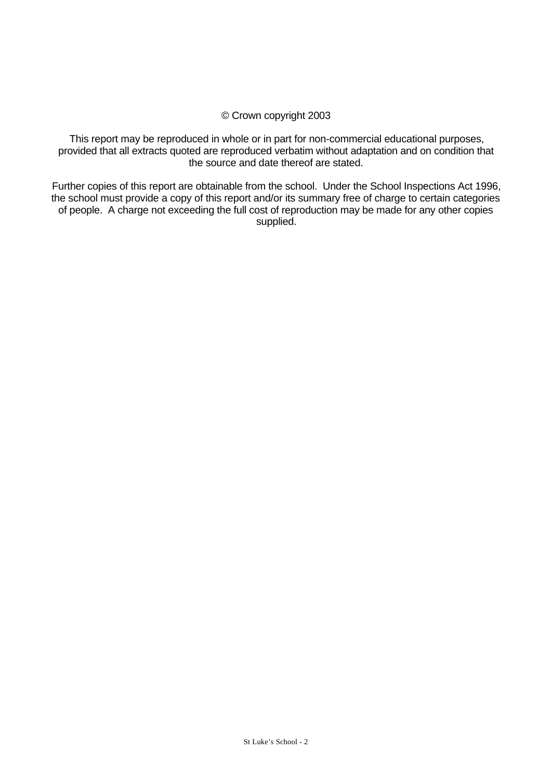## © Crown copyright 2003

This report may be reproduced in whole or in part for non-commercial educational purposes, provided that all extracts quoted are reproduced verbatim without adaptation and on condition that the source and date thereof are stated.

Further copies of this report are obtainable from the school. Under the School Inspections Act 1996, the school must provide a copy of this report and/or its summary free of charge to certain categories of people. A charge not exceeding the full cost of reproduction may be made for any other copies supplied.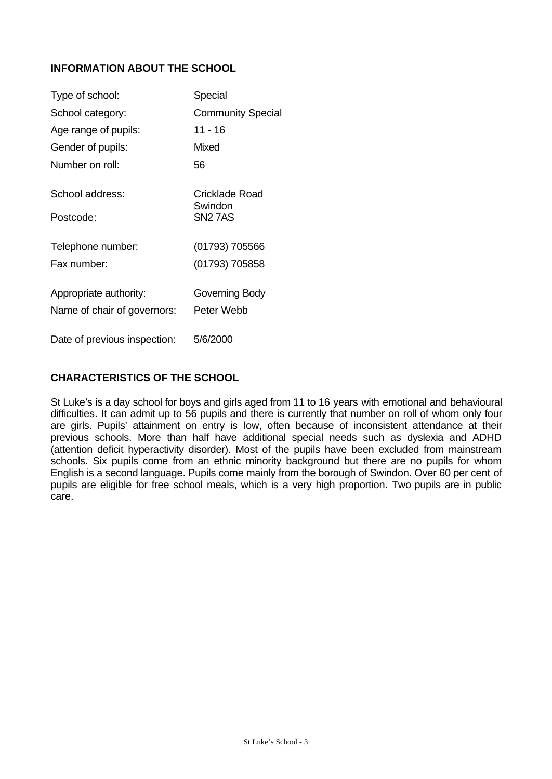# **INFORMATION ABOUT THE SCHOOL**

| Type of school:              | Special                   |
|------------------------------|---------------------------|
| School category:             | <b>Community Special</b>  |
| Age range of pupils:         | 11 - 16                   |
| Gender of pupils:            | Mixed                     |
| Number on roll:              | 56                        |
| School address:              | Cricklade Road<br>Swindon |
| Postcode:                    | <b>SN2 7AS</b>            |
| Telephone number:            | (01793) 705566            |
| Fax number:                  | (01793) 705858            |
| Appropriate authority:       | Governing Body            |
| Name of chair of governors:  | Peter Webb                |
| Date of previous inspection: | 5/6/2000                  |

## **CHARACTERISTICS OF THE SCHOOL**

St Luke's is a day school for boys and girls aged from 11 to 16 years with emotional and behavioural difficulties. It can admit up to 56 pupils and there is currently that number on roll of whom only four are girls. Pupils' attainment on entry is low, often because of inconsistent attendance at their previous schools. More than half have additional special needs such as dyslexia and ADHD (attention deficit hyperactivity disorder). Most of the pupils have been excluded from mainstream schools. Six pupils come from an ethnic minority background but there are no pupils for whom English is a second language. Pupils come mainly from the borough of Swindon. Over 60 per cent of pupils are eligible for free school meals, which is a very high proportion. Two pupils are in public care.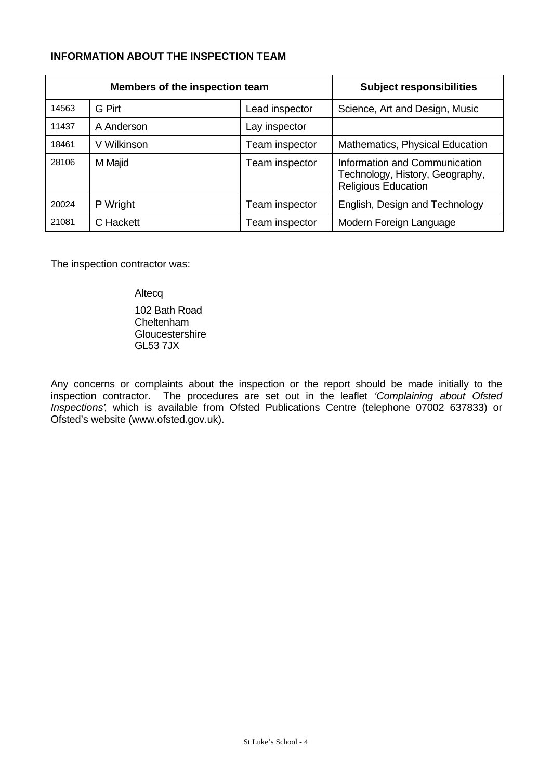# **INFORMATION ABOUT THE INSPECTION TEAM**

| Members of the inspection team |             | <b>Subject responsibilities</b> |                                                                                                |
|--------------------------------|-------------|---------------------------------|------------------------------------------------------------------------------------------------|
| 14563                          | G Pirt      | Lead inspector                  | Science, Art and Design, Music                                                                 |
| 11437                          | A Anderson  | Lay inspector                   |                                                                                                |
| 18461                          | V Wilkinson | Team inspector                  | Mathematics, Physical Education                                                                |
| 28106                          | M Majid     | Team inspector                  | Information and Communication<br>Technology, History, Geography,<br><b>Religious Education</b> |
| 20024                          | P Wright    | Team inspector                  | English, Design and Technology                                                                 |
| 21081                          | C Hackett   | Team inspector                  | Modern Foreign Language                                                                        |

The inspection contractor was:

Altecq

102 Bath Road Cheltenham **Gloucestershire** GL53 7JX

Any concerns or complaints about the inspection or the report should be made initially to the inspection contractor. The procedures are set out in the leaflet *'Complaining about Ofsted Inspections'*, which is available from Ofsted Publications Centre (telephone 07002 637833) or Ofsted's website (www.ofsted.gov.uk).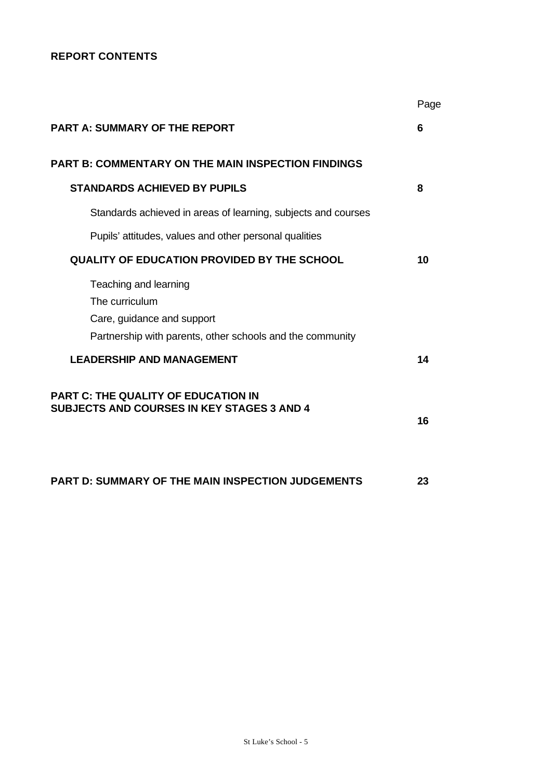# **REPORT CONTENTS**

|                                                                                                                                    | Page |
|------------------------------------------------------------------------------------------------------------------------------------|------|
| <b>PART A: SUMMARY OF THE REPORT</b>                                                                                               | 6    |
| <b>PART B: COMMENTARY ON THE MAIN INSPECTION FINDINGS</b>                                                                          |      |
| <b>STANDARDS ACHIEVED BY PUPILS</b>                                                                                                | 8    |
| Standards achieved in areas of learning, subjects and courses                                                                      |      |
| Pupils' attitudes, values and other personal qualities                                                                             |      |
| <b>QUALITY OF EDUCATION PROVIDED BY THE SCHOOL</b>                                                                                 | 10   |
| Teaching and learning<br>The curriculum<br>Care, guidance and support<br>Partnership with parents, other schools and the community |      |
| <b>LEADERSHIP AND MANAGEMENT</b>                                                                                                   | 14   |
| <b>PART C: THE QUALITY OF EDUCATION IN</b><br><b>SUBJECTS AND COURSES IN KEY STAGES 3 AND 4</b>                                    | 16   |
| <b>PART D: SUMMARY OF THE MAIN INSPECTION JUDGEMENTS</b>                                                                           | 23   |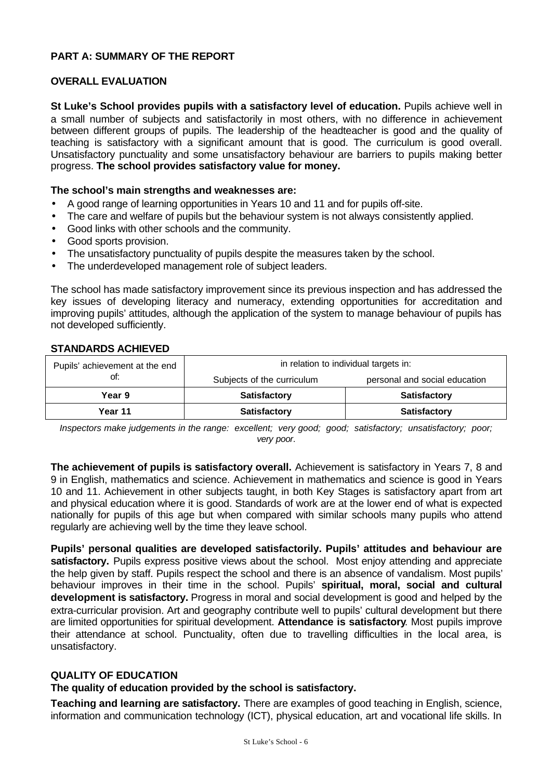## **PART A: SUMMARY OF THE REPORT**

## **OVERALL EVALUATION**

**St Luke's School provides pupils with a satisfactory level of education.** Pupils achieve well in a small number of subjects and satisfactorily in most others, with no difference in achievement between different groups of pupils. The leadership of the headteacher is good and the quality of teaching is satisfactory with a significant amount that is good. The curriculum is good overall. Unsatisfactory punctuality and some unsatisfactory behaviour are barriers to pupils making better progress. **The school provides satisfactory value for money.**

### **The school's main strengths and weaknesses are:**

- A good range of learning opportunities in Years 10 and 11 and for pupils off-site.
- The care and welfare of pupils but the behaviour system is not always consistently applied.
- Good links with other schools and the community.
- Good sports provision.
- The unsatisfactory punctuality of pupils despite the measures taken by the school.
- The underdeveloped management role of subject leaders.

The school has made satisfactory improvement since its previous inspection and has addressed the key issues of developing literacy and numeracy, extending opportunities for accreditation and improving pupils' attitudes, although the application of the system to manage behaviour of pupils has not developed sufficiently.

### **STANDARDS ACHIEVED**

| Pupils' achievement at the end | in relation to individual targets in: |                               |  |  |  |
|--------------------------------|---------------------------------------|-------------------------------|--|--|--|
| ot:                            | Subjects of the curriculum            | personal and social education |  |  |  |
| Year 9                         | <b>Satisfactory</b>                   | <b>Satisfactory</b>           |  |  |  |
| Year 11                        | <b>Satisfactory</b>                   | <b>Satisfactory</b>           |  |  |  |

*Inspectors make judgements in the range: excellent; very good; good; satisfactory; unsatisfactory; poor; very poor*.

**The achievement of pupils is satisfactory overall.** Achievement is satisfactory in Years 7, 8 and 9 in English, mathematics and science. Achievement in mathematics and science is good in Years 10 and 11. Achievement in other subjects taught, in both Key Stages is satisfactory apart from art and physical education where it is good. Standards of work are at the lower end of what is expected nationally for pupils of this age but when compared with similar schools many pupils who attend regularly are achieving well by the time they leave school.

**Pupils' personal qualities are developed satisfactorily. Pupils' attitudes and behaviour are** satisfactory. Pupils express positive views about the school. Most enjoy attending and appreciate the help given by staff. Pupils respect the school and there is an absence of vandalism. Most pupils' behaviour improves in their time in the school. Pupils' **spiritual, moral, social and cultural development is satisfactory.** Progress in moral and social development is good and helped by the extra-curricular provision. Art and geography contribute well to pupils' cultural development but there are limited opportunities for spiritual development. **Attendance is satisfactory**. Most pupils improve their attendance at school. Punctuality, often due to travelling difficulties in the local area, is unsatisfactory.

### **QUALITY OF EDUCATION**

## **The quality of education provided by the school is satisfactory.**

**Teaching and learning are satisfactory.** There are examples of good teaching in English, science, information and communication technology (ICT), physical education, art and vocational life skills. In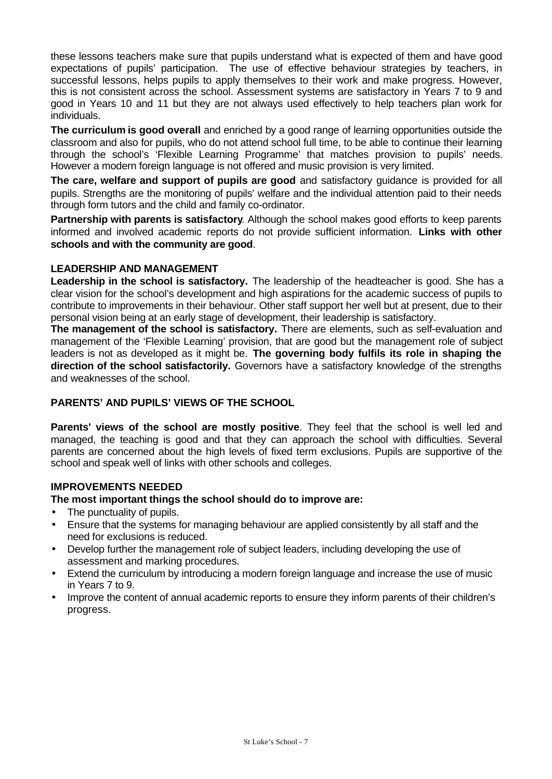these lessons teachers make sure that pupils understand what is expected of them and have good expectations of pupils' participation. The use of effective behaviour strategies by teachers, in successful lessons, helps pupils to apply themselves to their work and make progress. However, this is not consistent across the school. Assessment systems are satisfactory in Years 7 to 9 and good in Years 10 and 11 but they are not always used effectively to help teachers plan work for individuals.

**The curriculum is good overall** and enriched by a good range of learning opportunities outside the classroom and also for pupils, who do not attend school full time, to be able to continue their learning through the school's 'Flexible Learning Programme' that matches provision to pupils' needs. However a modern foreign language is not offered and music provision is very limited.

**The care, welfare and support of pupils are good** and satisfactory guidance is provided for all pupils. Strengths are the monitoring of pupils' welfare and the individual attention paid to their needs through form tutors and the child and family co-ordinator.

**Partnership with parents is satisfactory**. Although the school makes good efforts to keep parents informed and involved academic reports do not provide sufficient information. **Links with other schools and with the community are good**.

## **LEADERSHIP AND MANAGEMENT**

**Leadership in the school is satisfactory.** The leadership of the headteacher is good. She has a clear vision for the school's development and high aspirations for the academic success of pupils to contribute to improvements in their behaviour. Other staff support her well but at present, due to their personal vision being at an early stage of development, their leadership is satisfactory.

**The management of the school is satisfactory.** There are elements, such as self-evaluation and management of the 'Flexible Learning' provision, that are good but the management role of subject leaders is not as developed as it might be. **The governing body fulfils its role in shaping the direction of the school satisfactorily.** Governors have a satisfactory knowledge of the strengths and weaknesses of the school.

# **PARENTS' AND PUPILS' VIEWS OF THE SCHOOL**

**Parents' views of the school are mostly positive**. They feel that the school is well led and managed, the teaching is good and that they can approach the school with difficulties. Several parents are concerned about the high levels of fixed term exclusions. Pupils are supportive of the school and speak well of links with other schools and colleges.

## **IMPROVEMENTS NEEDED**

## **The most important things the school should do to improve are:**

- The punctuality of pupils.
- Ensure that the systems for managing behaviour are applied consistently by all staff and the need for exclusions is reduced.
- Develop further the management role of subject leaders, including developing the use of assessment and marking procedures.
- Extend the curriculum by introducing a modern foreign language and increase the use of music in Years 7 to 9.
- Improve the content of annual academic reports to ensure they inform parents of their children's progress.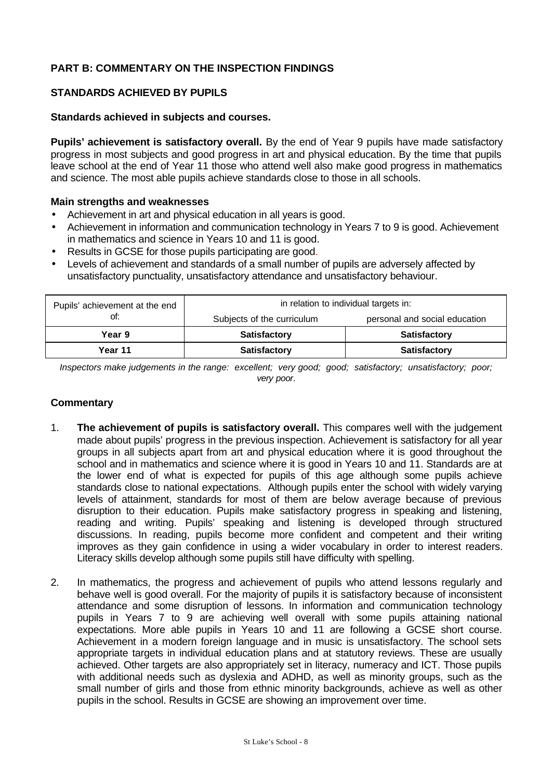# **PART B: COMMENTARY ON THE INSPECTION FINDINGS**

## **STANDARDS ACHIEVED BY PUPILS**

### **Standards achieved in subjects and courses.**

**Pupils' achievement is satisfactory overall.** By the end of Year 9 pupils have made satisfactory progress in most subjects and good progress in art and physical education. By the time that pupils leave school at the end of Year 11 those who attend well also make good progress in mathematics and science. The most able pupils achieve standards close to those in all schools.

### **Main strengths and weaknesses**

- Achievement in art and physical education in all years is good.
- Achievement in information and communication technology in Years 7 to 9 is good. Achievement in mathematics and science in Years 10 and 11 is good.
- Results in GCSE for those pupils participating are good.
- Levels of achievement and standards of a small number of pupils are adversely affected by unsatisfactory punctuality, unsatisfactory attendance and unsatisfactory behaviour.

| Pupils' achievement at the end | in relation to individual targets in: |                               |  |  |  |
|--------------------------------|---------------------------------------|-------------------------------|--|--|--|
| ot:                            | Subjects of the curriculum            | personal and social education |  |  |  |
| Year 9                         | <b>Satisfactory</b>                   | <b>Satisfactory</b>           |  |  |  |
| Year 11                        | <b>Satisfactory</b>                   | <b>Satisfactory</b>           |  |  |  |

*Inspectors make judgements in the range: excellent; very good; good; satisfactory; unsatisfactory; poor; very poor*.

- 1. **The achievement of pupils is satisfactory overall.** This compares well with the judgement made about pupils' progress in the previous inspection. Achievement is satisfactory for all year groups in all subjects apart from art and physical education where it is good throughout the school and in mathematics and science where it is good in Years 10 and 11. Standards are at the lower end of what is expected for pupils of this age although some pupils achieve standards close to national expectations. Although pupils enter the school with widely varying levels of attainment, standards for most of them are below average because of previous disruption to their education. Pupils make satisfactory progress in speaking and listening, reading and writing. Pupils' speaking and listening is developed through structured discussions. In reading, pupils become more confident and competent and their writing improves as they gain confidence in using a wider vocabulary in order to interest readers. Literacy skills develop although some pupils still have difficulty with spelling.
- 2. In mathematics, the progress and achievement of pupils who attend lessons regularly and behave well is good overall. For the majority of pupils it is satisfactory because of inconsistent attendance and some disruption of lessons. In information and communication technology pupils in Years 7 to 9 are achieving well overall with some pupils attaining national expectations. More able pupils in Years 10 and 11 are following a GCSE short course. Achievement in a modern foreign language and in music is unsatisfactory. The school sets appropriate targets in individual education plans and at statutory reviews. These are usually achieved. Other targets are also appropriately set in literacy, numeracy and ICT. Those pupils with additional needs such as dyslexia and ADHD, as well as minority groups, such as the small number of girls and those from ethnic minority backgrounds, achieve as well as other pupils in the school. Results in GCSE are showing an improvement over time.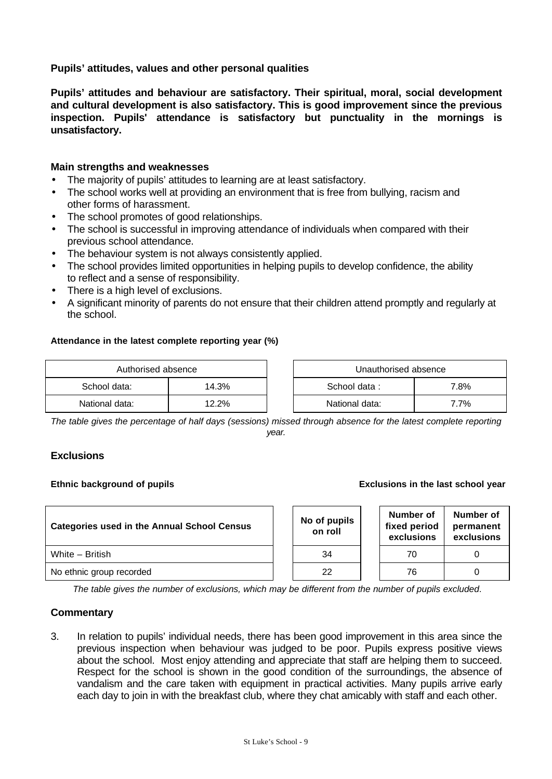**Pupils' attitudes, values and other personal qualities**

**Pupils' attitudes and behaviour are satisfactory. Their spiritual, moral, social development and cultural development is also satisfactory. This is good improvement since the previous inspection. Pupils' attendance is satisfactory but punctuality in the mornings is unsatisfactory.**

## **Main strengths and weaknesses**

- The majority of pupils' attitudes to learning are at least satisfactory.
- The school works well at providing an environment that is free from bullying, racism and other forms of harassment.
- The school promotes of good relationships.
- The school is successful in improving attendance of individuals when compared with their previous school attendance.
- The behaviour system is not always consistently applied.
- The school provides limited opportunities in helping pupils to develop confidence, the ability to reflect and a sense of responsibility.
- There is a high level of exclusions.
- A significant minority of parents do not ensure that their children attend promptly and regularly at the school.

### **Attendance in the latest complete reporting year (%)**

|                | Authorised absence<br>Unauthorised absence |  |                      |      |  |
|----------------|--------------------------------------------|--|----------------------|------|--|
| School data:   | 14.3%                                      |  | School data:<br>7.8% |      |  |
| National data: | 12.2%                                      |  | National data:       | 7.7% |  |

*The table gives the percentage of half days (sessions) missed through absence for the latest complete reporting year.*

### **Exclusions**

### **Ethnic background of pupils Exclusions in the last school year**

| <b>Categories used in the Annual School Census</b> |  | No of pupils<br>on roll |  | Number of<br>fixed period<br>exclusions | Number of<br>permanent<br>exclusions |  |
|----------------------------------------------------|--|-------------------------|--|-----------------------------------------|--------------------------------------|--|
| White – British                                    |  | 34                      |  | 70                                      |                                      |  |
| No ethnic group recorded                           |  | 22                      |  | 76                                      |                                      |  |

*The table gives the number of exclusions, which may be different from the number of pupils excluded*.

## **Commentary**

3. In relation to pupils' individual needs, there has been good improvement in this area since the previous inspection when behaviour was judged to be poor. Pupils express positive views about the school. Most enjoy attending and appreciate that staff are helping them to succeed. Respect for the school is shown in the good condition of the surroundings, the absence of vandalism and the care taken with equipment in practical activities. Many pupils arrive early each day to join in with the breakfast club, where they chat amicably with staff and each other.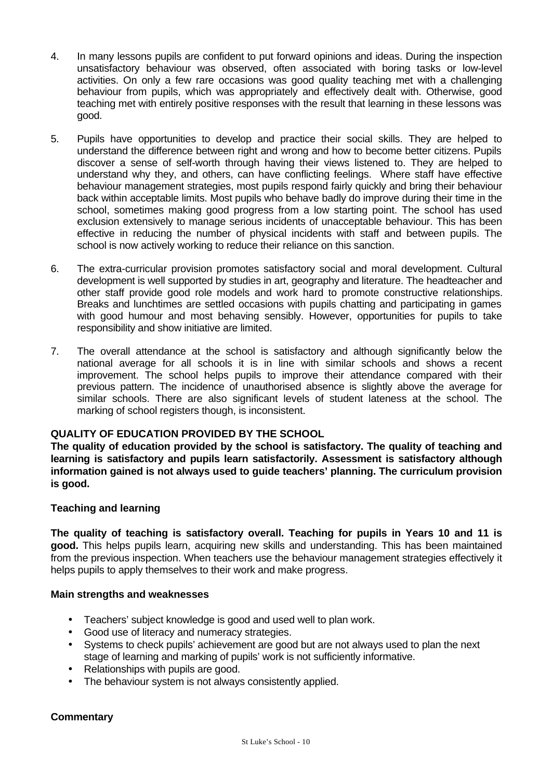- 4. In many lessons pupils are confident to put forward opinions and ideas. During the inspection unsatisfactory behaviour was observed, often associated with boring tasks or low-level activities. On only a few rare occasions was good quality teaching met with a challenging behaviour from pupils, which was appropriately and effectively dealt with. Otherwise, good teaching met with entirely positive responses with the result that learning in these lessons was good.
- 5. Pupils have opportunities to develop and practice their social skills. They are helped to understand the difference between right and wrong and how to become better citizens. Pupils discover a sense of self-worth through having their views listened to. They are helped to understand why they, and others, can have conflicting feelings. Where staff have effective behaviour management strategies, most pupils respond fairly quickly and bring their behaviour back within acceptable limits. Most pupils who behave badly do improve during their time in the school, sometimes making good progress from a low starting point. The school has used exclusion extensively to manage serious incidents of unacceptable behaviour. This has been effective in reducing the number of physical incidents with staff and between pupils. The school is now actively working to reduce their reliance on this sanction.
- 6. The extra-curricular provision promotes satisfactory social and moral development. Cultural development is well supported by studies in art, geography and literature. The headteacher and other staff provide good role models and work hard to promote constructive relationships. Breaks and lunchtimes are settled occasions with pupils chatting and participating in games with good humour and most behaving sensibly. However, opportunities for pupils to take responsibility and show initiative are limited.
- 7. The overall attendance at the school is satisfactory and although significantly below the national average for all schools it is in line with similar schools and shows a recent improvement. The school helps pupils to improve their attendance compared with their previous pattern. The incidence of unauthorised absence is slightly above the average for similar schools. There are also significant levels of student lateness at the school. The marking of school registers though, is inconsistent.

## **QUALITY OF EDUCATION PROVIDED BY THE SCHOOL**

**The quality of education provided by the school is satisfactory. The quality of teaching and learning is satisfactory and pupils learn satisfactorily. Assessment is satisfactory although information gained is not always used to guide teachers' planning. The curriculum provision is good.**

## **Teaching and learning**

**The quality of teaching is satisfactory overall. Teaching for pupils in Years 10 and 11 is good.** This helps pupils learn, acquiring new skills and understanding. This has been maintained from the previous inspection. When teachers use the behaviour management strategies effectively it helps pupils to apply themselves to their work and make progress.

## **Main strengths and weaknesses**

- Teachers' subject knowledge is good and used well to plan work.
- Good use of literacy and numeracy strategies.
- Systems to check pupils' achievement are good but are not always used to plan the next stage of learning and marking of pupils' work is not sufficiently informative.
- Relationships with pupils are good.
- The behaviour system is not always consistently applied.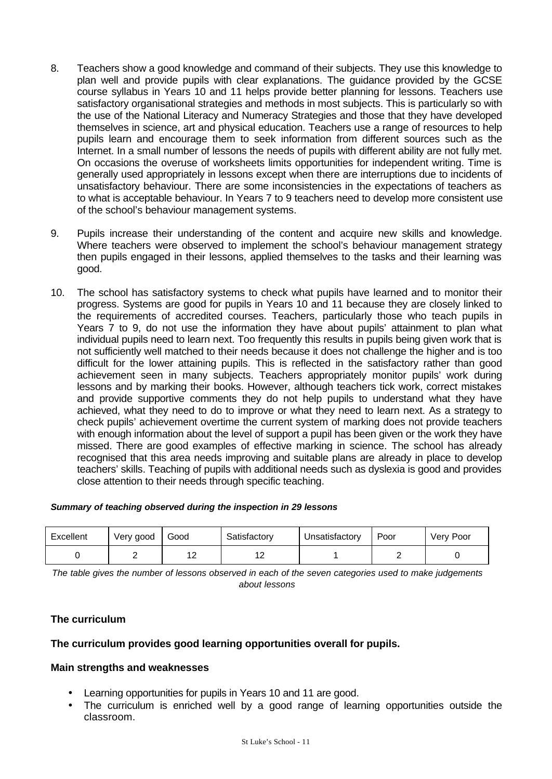- 8. Teachers show a good knowledge and command of their subjects. They use this knowledge to plan well and provide pupils with clear explanations. The guidance provided by the GCSE course syllabus in Years 10 and 11 helps provide better planning for lessons. Teachers use satisfactory organisational strategies and methods in most subjects. This is particularly so with the use of the National Literacy and Numeracy Strategies and those that they have developed themselves in science, art and physical education. Teachers use a range of resources to help pupils learn and encourage them to seek information from different sources such as the Internet. In a small number of lessons the needs of pupils with different ability are not fully met. On occasions the overuse of worksheets limits opportunities for independent writing. Time is generally used appropriately in lessons except when there are interruptions due to incidents of unsatisfactory behaviour. There are some inconsistencies in the expectations of teachers as to what is acceptable behaviour. In Years 7 to 9 teachers need to develop more consistent use of the school's behaviour management systems.
- 9. Pupils increase their understanding of the content and acquire new skills and knowledge. Where teachers were observed to implement the school's behaviour management strategy then pupils engaged in their lessons, applied themselves to the tasks and their learning was good.
- 10. The school has satisfactory systems to check what pupils have learned and to monitor their progress. Systems are good for pupils in Years 10 and 11 because they are closely linked to the requirements of accredited courses. Teachers, particularly those who teach pupils in Years 7 to 9, do not use the information they have about pupils' attainment to plan what individual pupils need to learn next. Too frequently this results in pupils being given work that is not sufficiently well matched to their needs because it does not challenge the higher and is too difficult for the lower attaining pupils. This is reflected in the satisfactory rather than good achievement seen in many subjects. Teachers appropriately monitor pupils' work during lessons and by marking their books. However, although teachers tick work, correct mistakes and provide supportive comments they do not help pupils to understand what they have achieved, what they need to do to improve or what they need to learn next. As a strategy to check pupils' achievement overtime the current system of marking does not provide teachers with enough information about the level of support a pupil has been given or the work they have missed. There are good examples of effective marking in science. The school has already recognised that this area needs improving and suitable plans are already in place to develop teachers' skills. Teaching of pupils with additional needs such as dyslexia is good and provides close attention to their needs through specific teaching.

### *Summary of teaching observed during the inspection in 29 lessons*

| Excellent | Very good | Good               | Satisfactory | Unsatisfactory | Poor | Very Poor |
|-----------|-----------|--------------------|--------------|----------------|------|-----------|
|           |           | $1^{\circ}$<br>ے ا | $\epsilon$   |                |      |           |

*The table gives the number of lessons observed in each of the seven categories used to make judgements about lessons*

## **The curriculum**

## **The curriculum provides good learning opportunities overall for pupils.**

### **Main strengths and weaknesses**

- Learning opportunities for pupils in Years 10 and 11 are good.
- The curriculum is enriched well by a good range of learning opportunities outside the classroom.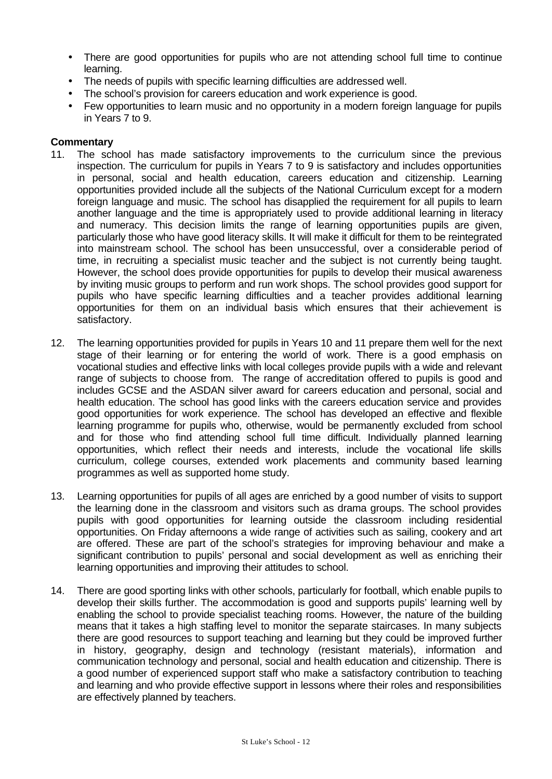- There are good opportunities for pupils who are not attending school full time to continue learning.
- The needs of pupils with specific learning difficulties are addressed well.
- The school's provision for careers education and work experience is good.
- Few opportunities to learn music and no opportunity in a modern foreign language for pupils in Years 7 to 9.

- 11. The school has made satisfactory improvements to the curriculum since the previous inspection. The curriculum for pupils in Years 7 to 9 is satisfactory and includes opportunities in personal, social and health education, careers education and citizenship. Learning opportunities provided include all the subjects of the National Curriculum except for a modern foreign language and music. The school has disapplied the requirement for all pupils to learn another language and the time is appropriately used to provide additional learning in literacy and numeracy. This decision limits the range of learning opportunities pupils are given, particularly those who have good literacy skills. It will make it difficult for them to be reintegrated into mainstream school. The school has been unsuccessful, over a considerable period of time, in recruiting a specialist music teacher and the subject is not currently being taught. However, the school does provide opportunities for pupils to develop their musical awareness by inviting music groups to perform and run work shops. The school provides good support for pupils who have specific learning difficulties and a teacher provides additional learning opportunities for them on an individual basis which ensures that their achievement is satisfactory.
- 12. The learning opportunities provided for pupils in Years 10 and 11 prepare them well for the next stage of their learning or for entering the world of work. There is a good emphasis on vocational studies and effective links with local colleges provide pupils with a wide and relevant range of subjects to choose from. The range of accreditation offered to pupils is good and includes GCSE and the ASDAN silver award for careers education and personal, social and health education. The school has good links with the careers education service and provides good opportunities for work experience. The school has developed an effective and flexible learning programme for pupils who, otherwise, would be permanently excluded from school and for those who find attending school full time difficult. Individually planned learning opportunities, which reflect their needs and interests, include the vocational life skills curriculum, college courses, extended work placements and community based learning programmes as well as supported home study.
- 13. Learning opportunities for pupils of all ages are enriched by a good number of visits to support the learning done in the classroom and visitors such as drama groups. The school provides pupils with good opportunities for learning outside the classroom including residential opportunities. On Friday afternoons a wide range of activities such as sailing, cookery and art are offered. These are part of the school's strategies for improving behaviour and make a significant contribution to pupils' personal and social development as well as enriching their learning opportunities and improving their attitudes to school.
- 14. There are good sporting links with other schools, particularly for football, which enable pupils to develop their skills further. The accommodation is good and supports pupils' learning well by enabling the school to provide specialist teaching rooms. However, the nature of the building means that it takes a high staffing level to monitor the separate staircases. In many subjects there are good resources to support teaching and learning but they could be improved further in history, geography, design and technology (resistant materials), information and communication technology and personal, social and health education and citizenship. There is a good number of experienced support staff who make a satisfactory contribution to teaching and learning and who provide effective support in lessons where their roles and responsibilities are effectively planned by teachers.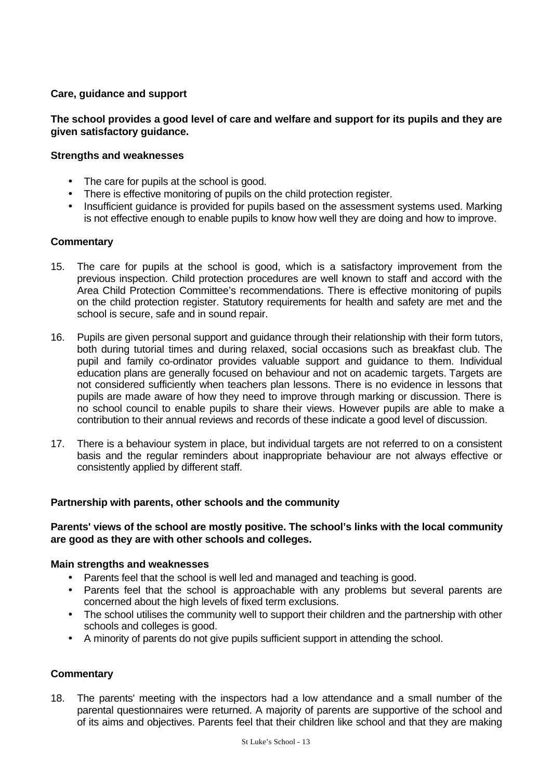## **Care, guidance and support**

## **The school provides a good level of care and welfare and support for its pupils and they are given satisfactory guidance.**

## **Strengths and weaknesses**

- The care for pupils at the school is good.
- There is effective monitoring of pupils on the child protection register.
- Insufficient quidance is provided for pupils based on the assessment systems used. Marking is not effective enough to enable pupils to know how well they are doing and how to improve.

### **Commentary**

- 15. The care for pupils at the school is good, which is a satisfactory improvement from the previous inspection. Child protection procedures are well known to staff and accord with the Area Child Protection Committee's recommendations. There is effective monitoring of pupils on the child protection register. Statutory requirements for health and safety are met and the school is secure, safe and in sound repair.
- 16. Pupils are given personal support and guidance through their relationship with their form tutors, both during tutorial times and during relaxed, social occasions such as breakfast club. The pupil and family co-ordinator provides valuable support and guidance to them. Individual education plans are generally focused on behaviour and not on academic targets. Targets are not considered sufficiently when teachers plan lessons. There is no evidence in lessons that pupils are made aware of how they need to improve through marking or discussion. There is no school council to enable pupils to share their views. However pupils are able to make a contribution to their annual reviews and records of these indicate a good level of discussion.
- 17. There is a behaviour system in place, but individual targets are not referred to on a consistent basis and the regular reminders about inappropriate behaviour are not always effective or consistently applied by different staff.

### **Partnership with parents, other schools and the community**

## **Parents' views of the school are mostly positive. The school's links with the local community are good as they are with other schools and colleges.**

### **Main strengths and weaknesses**

- Parents feel that the school is well led and managed and teaching is good.
- Parents feel that the school is approachable with any problems but several parents are concerned about the high levels of fixed term exclusions.
- The school utilises the community well to support their children and the partnership with other schools and colleges is good.
- A minority of parents do not give pupils sufficient support in attending the school.

## **Commentary**

18. The parents' meeting with the inspectors had a low attendance and a small number of the parental questionnaires were returned. A majority of parents are supportive of the school and of its aims and objectives. Parents feel that their children like school and that they are making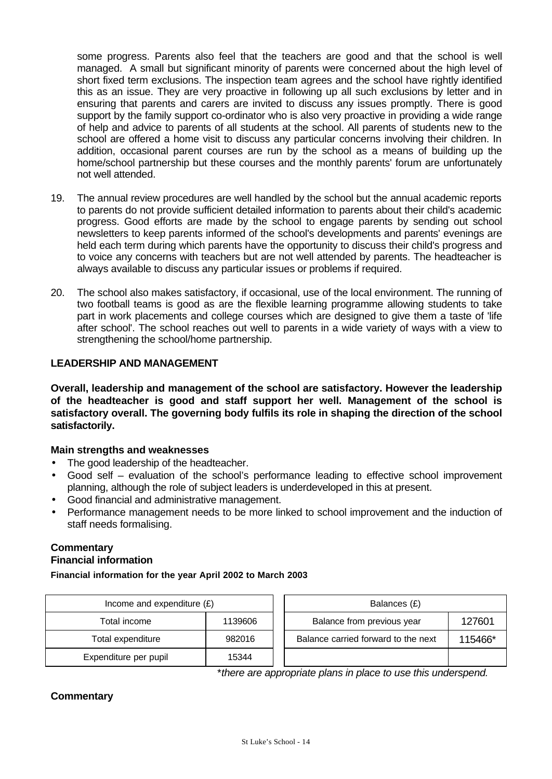some progress. Parents also feel that the teachers are good and that the school is well managed. A small but significant minority of parents were concerned about the high level of short fixed term exclusions. The inspection team agrees and the school have rightly identified this as an issue. They are very proactive in following up all such exclusions by letter and in ensuring that parents and carers are invited to discuss any issues promptly. There is good support by the family support co-ordinator who is also very proactive in providing a wide range of help and advice to parents of all students at the school. All parents of students new to the school are offered a home visit to discuss any particular concerns involving their children. In addition, occasional parent courses are run by the school as a means of building up the home/school partnership but these courses and the monthly parents' forum are unfortunately not well attended.

- 19. The annual review procedures are well handled by the school but the annual academic reports to parents do not provide sufficient detailed information to parents about their child's academic progress. Good efforts are made by the school to engage parents by sending out school newsletters to keep parents informed of the school's developments and parents' evenings are held each term during which parents have the opportunity to discuss their child's progress and to voice any concerns with teachers but are not well attended by parents. The headteacher is always available to discuss any particular issues or problems if required.
- 20. The school also makes satisfactory, if occasional, use of the local environment. The running of two football teams is good as are the flexible learning programme allowing students to take part in work placements and college courses which are designed to give them a taste of 'life after school'. The school reaches out well to parents in a wide variety of ways with a view to strengthening the school/home partnership.

## **LEADERSHIP AND MANAGEMENT**

**Overall, leadership and management of the school are satisfactory. However the leadership of the headteacher is good and staff support her well. Management of the school is satisfactory overall. The governing body fulfils its role in shaping the direction of the school satisfactorily.**

## **Main strengths and weaknesses**

- The good leadership of the headteacher.
- Good self evaluation of the school's performance leading to effective school improvement planning, although the role of subject leaders is underdeveloped in this at present.
- Good financial and administrative management.
- Performance management needs to be more linked to school improvement and the induction of staff needs formalising.

### **Commentary Financial information**

**Financial information for the year April 2002 to March 2003**

| Income and expenditure $(E)$ |         | Balances (£)                        |         |  |
|------------------------------|---------|-------------------------------------|---------|--|
| Total income                 | 1139606 | Balance from previous year          | 127601  |  |
| Total expenditure            | 982016  | Balance carried forward to the next | 115466* |  |
| Expenditure per pupil        | 15344   |                                     |         |  |

\**there are appropriate plans in place to use this underspend.*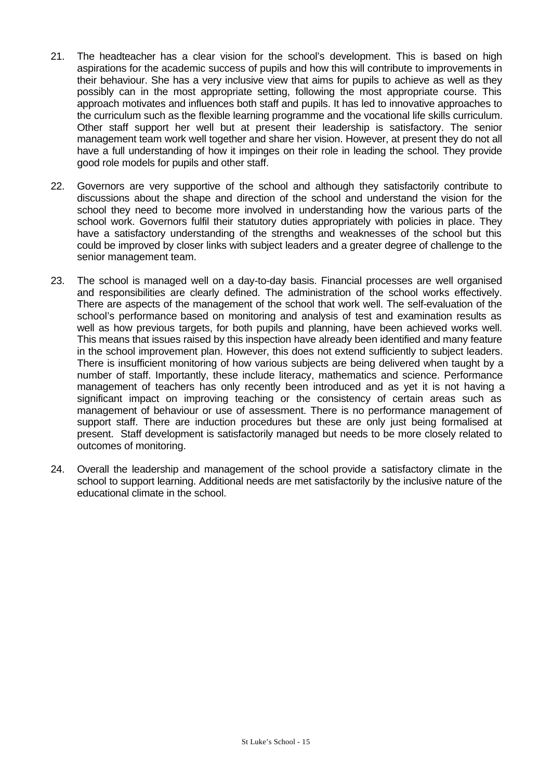- 21. The headteacher has a clear vision for the school's development. This is based on high aspirations for the academic success of pupils and how this will contribute to improvements in their behaviour. She has a very inclusive view that aims for pupils to achieve as well as they possibly can in the most appropriate setting, following the most appropriate course. This approach motivates and influences both staff and pupils. It has led to innovative approaches to the curriculum such as the flexible learning programme and the vocational life skills curriculum. Other staff support her well but at present their leadership is satisfactory. The senior management team work well together and share her vision. However, at present they do not all have a full understanding of how it impinges on their role in leading the school. They provide good role models for pupils and other staff.
- 22. Governors are very supportive of the school and although they satisfactorily contribute to discussions about the shape and direction of the school and understand the vision for the school they need to become more involved in understanding how the various parts of the school work. Governors fulfil their statutory duties appropriately with policies in place. They have a satisfactory understanding of the strengths and weaknesses of the school but this could be improved by closer links with subject leaders and a greater degree of challenge to the senior management team.
- 23. The school is managed well on a day-to-day basis. Financial processes are well organised and responsibilities are clearly defined. The administration of the school works effectively. There are aspects of the management of the school that work well. The self-evaluation of the school's performance based on monitoring and analysis of test and examination results as well as how previous targets, for both pupils and planning, have been achieved works well. This means that issues raised by this inspection have already been identified and many feature in the school improvement plan. However, this does not extend sufficiently to subject leaders. There is insufficient monitoring of how various subjects are being delivered when taught by a number of staff. Importantly, these include literacy, mathematics and science. Performance management of teachers has only recently been introduced and as yet it is not having a significant impact on improving teaching or the consistency of certain areas such as management of behaviour or use of assessment. There is no performance management of support staff. There are induction procedures but these are only just being formalised at present. Staff development is satisfactorily managed but needs to be more closely related to outcomes of monitoring.
- 24. Overall the leadership and management of the school provide a satisfactory climate in the school to support learning. Additional needs are met satisfactorily by the inclusive nature of the educational climate in the school.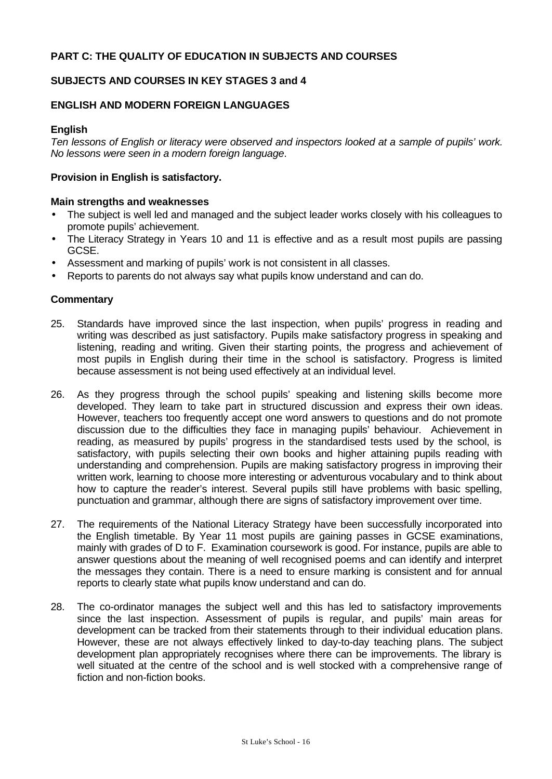## **PART C: THE QUALITY OF EDUCATION IN SUBJECTS AND COURSES**

## **SUBJECTS AND COURSES IN KEY STAGES 3 and 4**

### **ENGLISH AND MODERN FOREIGN LANGUAGES**

#### **English**

*Ten lessons of English or literacy were observed and inspectors looked at a sample of pupils' work. No lessons were seen in a modern foreign language*.

## **Provision in English is satisfactory.**

#### **Main strengths and weaknesses**

- The subject is well led and managed and the subject leader works closely with his colleagues to promote pupils' achievement.
- The Literacy Strategy in Years 10 and 11 is effective and as a result most pupils are passing GCSE.
- Assessment and marking of pupils' work is not consistent in all classes.
- Reports to parents do not always say what pupils know understand and can do.

- 25. Standards have improved since the last inspection, when pupils' progress in reading and writing was described as just satisfactory. Pupils make satisfactory progress in speaking and listening, reading and writing. Given their starting points, the progress and achievement of most pupils in English during their time in the school is satisfactory. Progress is limited because assessment is not being used effectively at an individual level.
- 26. As they progress through the school pupils' speaking and listening skills become more developed. They learn to take part in structured discussion and express their own ideas. However, teachers too frequently accept one word answers to questions and do not promote discussion due to the difficulties they face in managing pupils' behaviour. Achievement in reading, as measured by pupils' progress in the standardised tests used by the school, is satisfactory, with pupils selecting their own books and higher attaining pupils reading with understanding and comprehension. Pupils are making satisfactory progress in improving their written work, learning to choose more interesting or adventurous vocabulary and to think about how to capture the reader's interest. Several pupils still have problems with basic spelling, punctuation and grammar, although there are signs of satisfactory improvement over time.
- 27. The requirements of the National Literacy Strategy have been successfully incorporated into the English timetable. By Year 11 most pupils are gaining passes in GCSE examinations, mainly with grades of D to F. Examination coursework is good. For instance, pupils are able to answer questions about the meaning of well recognised poems and can identify and interpret the messages they contain. There is a need to ensure marking is consistent and for annual reports to clearly state what pupils know understand and can do.
- 28. The co-ordinator manages the subject well and this has led to satisfactory improvements since the last inspection. Assessment of pupils is regular, and pupils' main areas for development can be tracked from their statements through to their individual education plans. However, these are not always effectively linked to day-to-day teaching plans. The subject development plan appropriately recognises where there can be improvements. The library is well situated at the centre of the school and is well stocked with a comprehensive range of fiction and non-fiction books.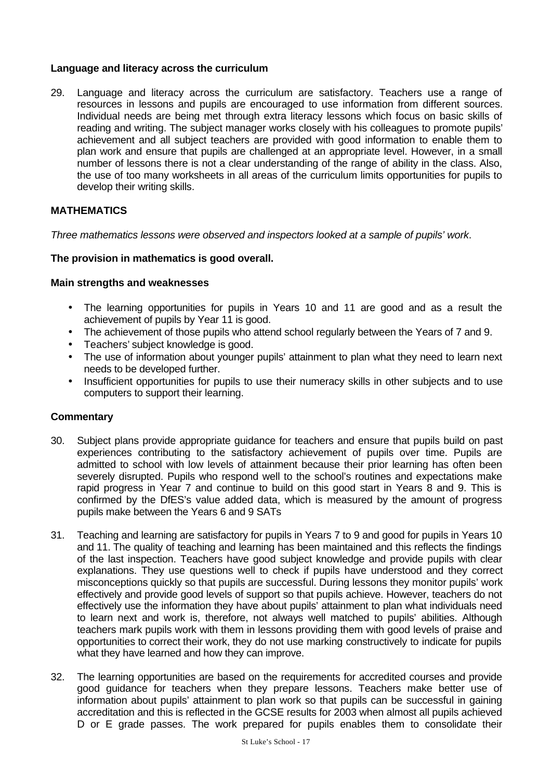## **Language and literacy across the curriculum**

29. Language and literacy across the curriculum are satisfactory. Teachers use a range of resources in lessons and pupils are encouraged to use information from different sources. Individual needs are being met through extra literacy lessons which focus on basic skills of reading and writing. The subject manager works closely with his colleagues to promote pupils' achievement and all subject teachers are provided with good information to enable them to plan work and ensure that pupils are challenged at an appropriate level. However, in a small number of lessons there is not a clear understanding of the range of ability in the class. Also, the use of too many worksheets in all areas of the curriculum limits opportunities for pupils to develop their writing skills.

## **MATHEMATICS**

*Three mathematics lessons were observed and inspectors looked at a sample of pupils' work*.

## **The provision in mathematics is good overall.**

### **Main strengths and weaknesses**

- The learning opportunities for pupils in Years 10 and 11 are good and as a result the achievement of pupils by Year 11 is good.
- The achievement of those pupils who attend school regularly between the Years of 7 and 9.
- Teachers' subject knowledge is good.
- The use of information about younger pupils' attainment to plan what they need to learn next needs to be developed further.
- Insufficient opportunities for pupils to use their numeracy skills in other subjects and to use computers to support their learning.

- 30. Subject plans provide appropriate guidance for teachers and ensure that pupils build on past experiences contributing to the satisfactory achievement of pupils over time. Pupils are admitted to school with low levels of attainment because their prior learning has often been severely disrupted. Pupils who respond well to the school's routines and expectations make rapid progress in Year 7 and continue to build on this good start in Years 8 and 9. This is confirmed by the DfES's value added data, which is measured by the amount of progress pupils make between the Years 6 and 9 SATs
- 31. Teaching and learning are satisfactory for pupils in Years 7 to 9 and good for pupils in Years 10 and 11. The quality of teaching and learning has been maintained and this reflects the findings of the last inspection. Teachers have good subject knowledge and provide pupils with clear explanations. They use questions well to check if pupils have understood and they correct misconceptions quickly so that pupils are successful. During lessons they monitor pupils' work effectively and provide good levels of support so that pupils achieve. However, teachers do not effectively use the information they have about pupils' attainment to plan what individuals need to learn next and work is, therefore, not always well matched to pupils' abilities. Although teachers mark pupils work with them in lessons providing them with good levels of praise and opportunities to correct their work, they do not use marking constructively to indicate for pupils what they have learned and how they can improve.
- 32. The learning opportunities are based on the requirements for accredited courses and provide good guidance for teachers when they prepare lessons. Teachers make better use of information about pupils' attainment to plan work so that pupils can be successful in gaining accreditation and this is reflected in the GCSE results for 2003 when almost all pupils achieved D or E grade passes. The work prepared for pupils enables them to consolidate their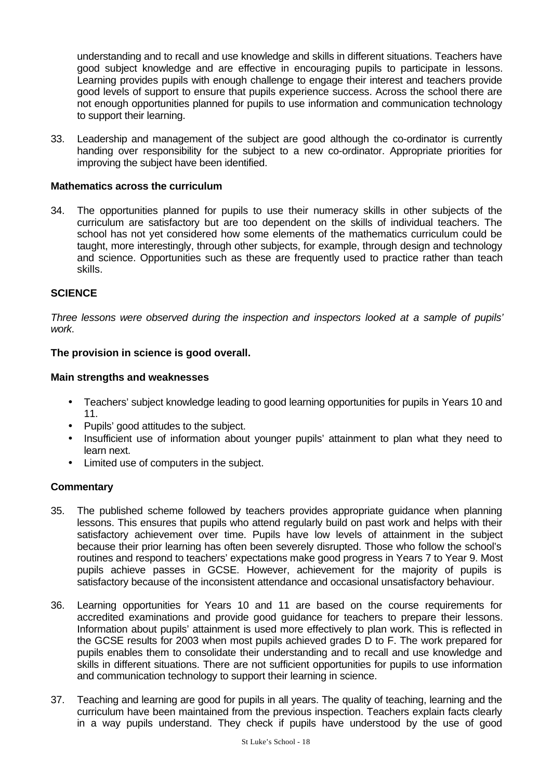understanding and to recall and use knowledge and skills in different situations. Teachers have good subject knowledge and are effective in encouraging pupils to participate in lessons. Learning provides pupils with enough challenge to engage their interest and teachers provide good levels of support to ensure that pupils experience success. Across the school there are not enough opportunities planned for pupils to use information and communication technology to support their learning.

33. Leadership and management of the subject are good although the co-ordinator is currently handing over responsibility for the subject to a new co-ordinator. Appropriate priorities for improving the subject have been identified.

## **Mathematics across the curriculum**

34. The opportunities planned for pupils to use their numeracy skills in other subjects of the curriculum are satisfactory but are too dependent on the skills of individual teachers. The school has not yet considered how some elements of the mathematics curriculum could be taught, more interestingly, through other subjects, for example, through design and technology and science. Opportunities such as these are frequently used to practice rather than teach skills.

## **SCIENCE**

*Three lessons were observed during the inspection and inspectors looked at a sample of pupils' work*.

### **The provision in science is good overall.**

### **Main strengths and weaknesses**

- Teachers' subject knowledge leading to good learning opportunities for pupils in Years 10 and 11.
- Pupils' good attitudes to the subject.
- Insufficient use of information about younger pupils' attainment to plan what they need to learn next.
- Limited use of computers in the subject.

- 35. The published scheme followed by teachers provides appropriate guidance when planning lessons. This ensures that pupils who attend regularly build on past work and helps with their satisfactory achievement over time. Pupils have low levels of attainment in the subject because their prior learning has often been severely disrupted. Those who follow the school's routines and respond to teachers' expectations make good progress in Years 7 to Year 9. Most pupils achieve passes in GCSE. However, achievement for the majority of pupils is satisfactory because of the inconsistent attendance and occasional unsatisfactory behaviour.
- 36. Learning opportunities for Years 10 and 11 are based on the course requirements for accredited examinations and provide good guidance for teachers to prepare their lessons. Information about pupils' attainment is used more effectively to plan work. This is reflected in the GCSE results for 2003 when most pupils achieved grades D to F. The work prepared for pupils enables them to consolidate their understanding and to recall and use knowledge and skills in different situations. There are not sufficient opportunities for pupils to use information and communication technology to support their learning in science.
- 37. Teaching and learning are good for pupils in all years. The quality of teaching, learning and the curriculum have been maintained from the previous inspection. Teachers explain facts clearly in a way pupils understand. They check if pupils have understood by the use of good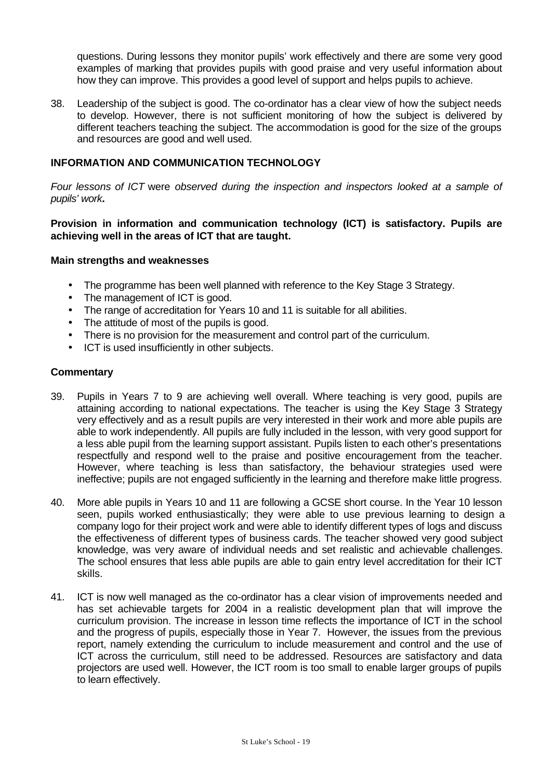questions. During lessons they monitor pupils' work effectively and there are some very good examples of marking that provides pupils with good praise and very useful information about how they can improve. This provides a good level of support and helps pupils to achieve.

38. Leadership of the subject is good. The co-ordinator has a clear view of how the subject needs to develop. However, there is not sufficient monitoring of how the subject is delivered by different teachers teaching the subject. The accommodation is good for the size of the groups and resources are good and well used.

## **INFORMATION AND COMMUNICATION TECHNOLOGY**

*Four lessons of ICT* were *observed during the inspection and inspectors looked at a sample of pupils' work***.**

**Provision in information and communication technology (ICT) is satisfactory. Pupils are achieving well in the areas of ICT that are taught.**

### **Main strengths and weaknesses**

- The programme has been well planned with reference to the Key Stage 3 Strategy.
- The management of ICT is good.
- The range of accreditation for Years 10 and 11 is suitable for all abilities.
- The attitude of most of the pupils is good.
- There is no provision for the measurement and control part of the curriculum.
- ICT is used insufficiently in other subjects.

- 39. Pupils in Years 7 to 9 are achieving well overall. Where teaching is very good, pupils are attaining according to national expectations. The teacher is using the Key Stage 3 Strategy very effectively and as a result pupils are very interested in their work and more able pupils are able to work independently. All pupils are fully included in the lesson, with very good support for a less able pupil from the learning support assistant. Pupils listen to each other's presentations respectfully and respond well to the praise and positive encouragement from the teacher. However, where teaching is less than satisfactory, the behaviour strategies used were ineffective; pupils are not engaged sufficiently in the learning and therefore make little progress.
- 40. More able pupils in Years 10 and 11 are following a GCSE short course. In the Year 10 lesson seen, pupils worked enthusiastically; they were able to use previous learning to design a company logo for their project work and were able to identify different types of logs and discuss the effectiveness of different types of business cards. The teacher showed very good subject knowledge, was very aware of individual needs and set realistic and achievable challenges. The school ensures that less able pupils are able to gain entry level accreditation for their ICT skills.
- 41. ICT is now well managed as the co-ordinator has a clear vision of improvements needed and has set achievable targets for 2004 in a realistic development plan that will improve the curriculum provision. The increase in lesson time reflects the importance of ICT in the school and the progress of pupils, especially those in Year 7. However, the issues from the previous report, namely extending the curriculum to include measurement and control and the use of ICT across the curriculum, still need to be addressed. Resources are satisfactory and data projectors are used well. However, the ICT room is too small to enable larger groups of pupils to learn effectively.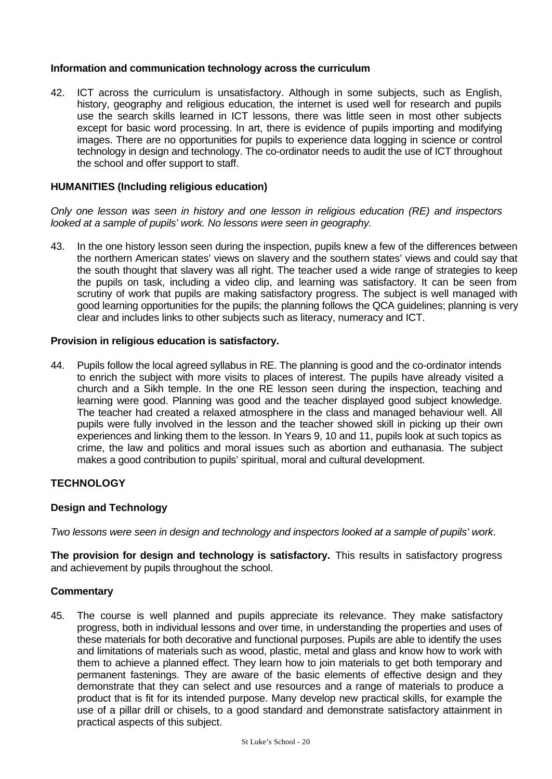## **Information and communication technology across the curriculum**

42. ICT across the curriculum is unsatisfactory. Although in some subjects, such as English, history, geography and religious education, the internet is used well for research and pupils use the search skills learned in ICT lessons, there was little seen in most other subjects except for basic word processing. In art, there is evidence of pupils importing and modifying images. There are no opportunities for pupils to experience data logging in science or control technology in design and technology. The co-ordinator needs to audit the use of ICT throughout the school and offer support to staff.

## **HUMANITIES (Including religious education)**

*Only one lesson was seen in history and one lesson in religious education (RE) and inspectors looked at a sample of pupils' work. No lessons were seen in geography.*

43. In the one history lesson seen during the inspection, pupils knew a few of the differences between the northern American states' views on slavery and the southern states' views and could say that the south thought that slavery was all right. The teacher used a wide range of strategies to keep the pupils on task, including a video clip, and learning was satisfactory. It can be seen from scrutiny of work that pupils are making satisfactory progress. The subject is well managed with good learning opportunities for the pupils; the planning follows the QCA guidelines; planning is very clear and includes links to other subjects such as literacy, numeracy and ICT.

## **Provision in religious education is satisfactory.**

44. Pupils follow the local agreed syllabus in RE. The planning is good and the co-ordinator intends to enrich the subject with more visits to places of interest. The pupils have already visited a church and a Sikh temple. In the one RE lesson seen during the inspection, teaching and learning were good. Planning was good and the teacher displayed good subject knowledge. The teacher had created a relaxed atmosphere in the class and managed behaviour well. All pupils were fully involved in the lesson and the teacher showed skill in picking up their own experiences and linking them to the lesson. In Years 9, 10 and 11, pupils look at such topics as crime, the law and politics and moral issues such as abortion and euthanasia. The subject makes a good contribution to pupils' spiritual, moral and cultural development.

## **TECHNOLOGY**

## **Design and Technology**

*Two lessons were seen in design and technology and inspectors looked at a sample of pupils' work*.

**The provision for design and technology is satisfactory.** This results in satisfactory progress and achievement by pupils throughout the school.

### **Commentary**

45. The course is well planned and pupils appreciate its relevance. They make satisfactory progress, both in individual lessons and over time, in understanding the properties and uses of these materials for both decorative and functional purposes. Pupils are able to identify the uses and limitations of materials such as wood, plastic, metal and glass and know how to work with them to achieve a planned effect. They learn how to join materials to get both temporary and permanent fastenings. They are aware of the basic elements of effective design and they demonstrate that they can select and use resources and a range of materials to produce a product that is fit for its intended purpose. Many develop new practical skills, for example the use of a pillar drill or chisels, to a good standard and demonstrate satisfactory attainment in practical aspects of this subject.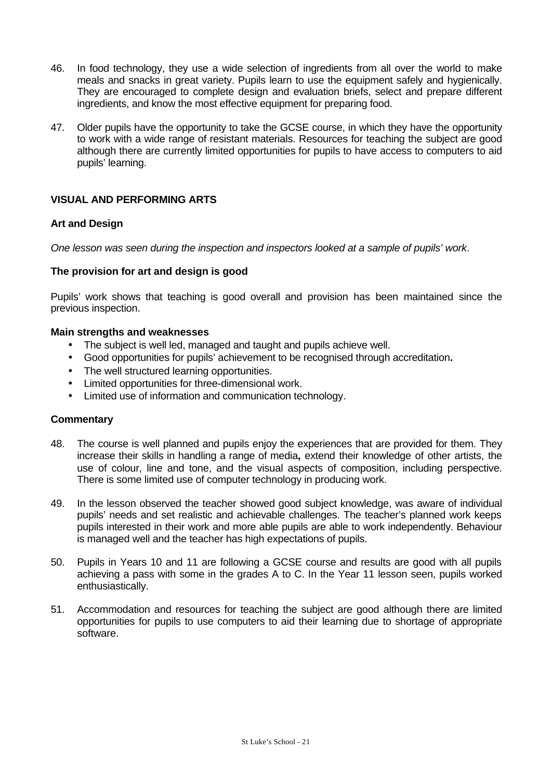- 46. In food technology, they use a wide selection of ingredients from all over the world to make meals and snacks in great variety. Pupils learn to use the equipment safely and hygienically. They are encouraged to complete design and evaluation briefs, select and prepare different ingredients, and know the most effective equipment for preparing food.
- 47. Older pupils have the opportunity to take the GCSE course, in which they have the opportunity to work with a wide range of resistant materials. Resources for teaching the subject are good although there are currently limited opportunities for pupils to have access to computers to aid pupils' learning.

## **VISUAL AND PERFORMING ARTS**

## **Art and Design**

*One lesson was seen during the inspection and inspectors looked at a sample of pupils' work*.

### **The provision for art and design is good**

Pupils' work shows that teaching is good overall and provision has been maintained since the previous inspection.

### **Main strengths and weaknesses**

- The subject is well led, managed and taught and pupils achieve well.
- Good opportunities for pupils' achievement to be recognised through accreditation**.**
- The well structured learning opportunities.
- Limited opportunities for three-dimensional work.
- Limited use of information and communication technology.

- 48. The course is well planned and pupils enjoy the experiences that are provided for them. They increase their skills in handling a range of media**,** extend their knowledge of other artists, the use of colour, line and tone, and the visual aspects of composition, including perspective. There is some limited use of computer technology in producing work.
- 49. In the lesson observed the teacher showed good subject knowledge, was aware of individual pupils' needs and set realistic and achievable challenges. The teacher's planned work keeps pupils interested in their work and more able pupils are able to work independently. Behaviour is managed well and the teacher has high expectations of pupils.
- 50. Pupils in Years 10 and 11 are following a GCSE course and results are good with all pupils achieving a pass with some in the grades A to C. In the Year 11 lesson seen, pupils worked enthusiastically.
- 51. Accommodation and resources for teaching the subject are good although there are limited opportunities for pupils to use computers to aid their learning due to shortage of appropriate software.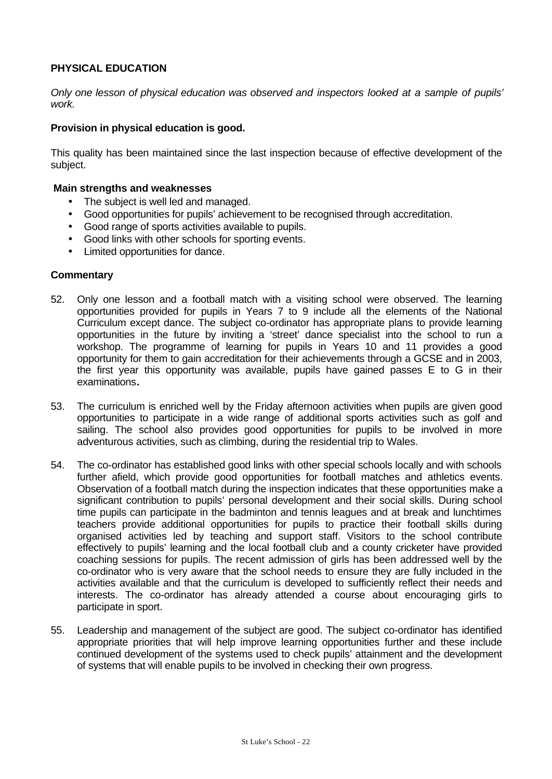## **PHYSICAL EDUCATION**

*Only one lesson of physical education was observed and inspectors looked at a sample of pupils' work.*

## **Provision in physical education is good.**

This quality has been maintained since the last inspection because of effective development of the subject.

### **Main strengths and weaknesses**

- The subject is well led and managed.
- Good opportunities for pupils' achievement to be recognised through accreditation.
- Good range of sports activities available to pupils.
- Good links with other schools for sporting events.
- Limited opportunities for dance.

- 52. Only one lesson and a football match with a visiting school were observed. The learning opportunities provided for pupils in Years 7 to 9 include all the elements of the National Curriculum except dance. The subject co-ordinator has appropriate plans to provide learning opportunities in the future by inviting a 'street' dance specialist into the school to run a workshop. The programme of learning for pupils in Years 10 and 11 provides a good opportunity for them to gain accreditation for their achievements through a GCSE and in 2003, the first year this opportunity was available, pupils have gained passes E to G in their examinations**.**
- 53. The curriculum is enriched well by the Friday afternoon activities when pupils are given good opportunities to participate in a wide range of additional sports activities such as golf and sailing. The school also provides good opportunities for pupils to be involved in more adventurous activities, such as climbing, during the residential trip to Wales.
- 54. The co-ordinator has established good links with other special schools locally and with schools further afield, which provide good opportunities for football matches and athletics events. Observation of a football match during the inspection indicates that these opportunities make a significant contribution to pupils' personal development and their social skills. During school time pupils can participate in the badminton and tennis leagues and at break and lunchtimes teachers provide additional opportunities for pupils to practice their football skills during organised activities led by teaching and support staff. Visitors to the school contribute effectively to pupils' learning and the local football club and a county cricketer have provided coaching sessions for pupils. The recent admission of girls has been addressed well by the co-ordinator who is very aware that the school needs to ensure they are fully included in the activities available and that the curriculum is developed to sufficiently reflect their needs and interests. The co-ordinator has already attended a course about encouraging girls to participate in sport.
- 55. Leadership and management of the subject are good. The subject co-ordinator has identified appropriate priorities that will help improve learning opportunities further and these include continued development of the systems used to check pupils' attainment and the development of systems that will enable pupils to be involved in checking their own progress.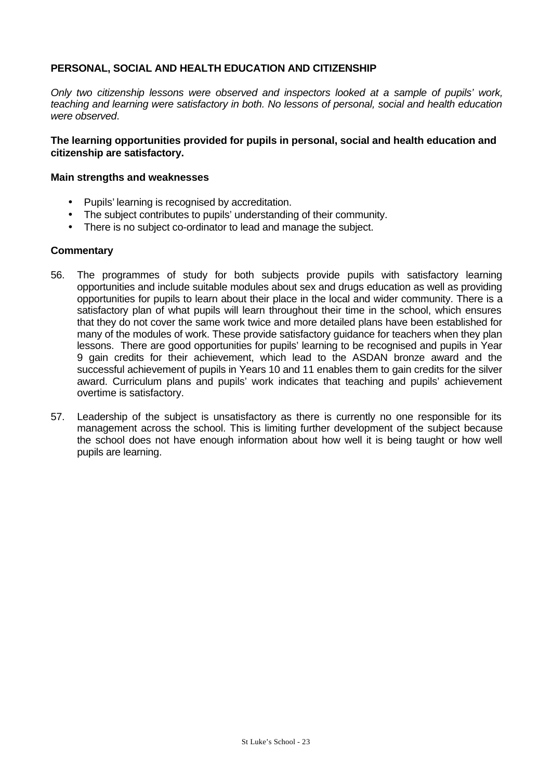## **PERSONAL, SOCIAL AND HEALTH EDUCATION AND CITIZENSHIP**

*Only two citizenship lessons were observed and inspectors looked at a sample of pupils' work, teaching and learning were satisfactory in both. No lessons of personal, social and health education were observed*.

## **The learning opportunities provided for pupils in personal, social and health education and citizenship are satisfactory.**

### **Main strengths and weaknesses**

- Pupils' learning is recognised by accreditation.
- The subject contributes to pupils' understanding of their community.
- There is no subject co-ordinator to lead and manage the subject.

- 56. The programmes of study for both subjects provide pupils with satisfactory learning opportunities and include suitable modules about sex and drugs education as well as providing opportunities for pupils to learn about their place in the local and wider community. There is a satisfactory plan of what pupils will learn throughout their time in the school, which ensures that they do not cover the same work twice and more detailed plans have been established for many of the modules of work. These provide satisfactory guidance for teachers when they plan lessons. There are good opportunities for pupils' learning to be recognised and pupils in Year 9 gain credits for their achievement, which lead to the ASDAN bronze award and the successful achievement of pupils in Years 10 and 11 enables them to gain credits for the silver award. Curriculum plans and pupils' work indicates that teaching and pupils' achievement overtime is satisfactory.
- 57. Leadership of the subject is unsatisfactory as there is currently no one responsible for its management across the school. This is limiting further development of the subject because the school does not have enough information about how well it is being taught or how well pupils are learning.